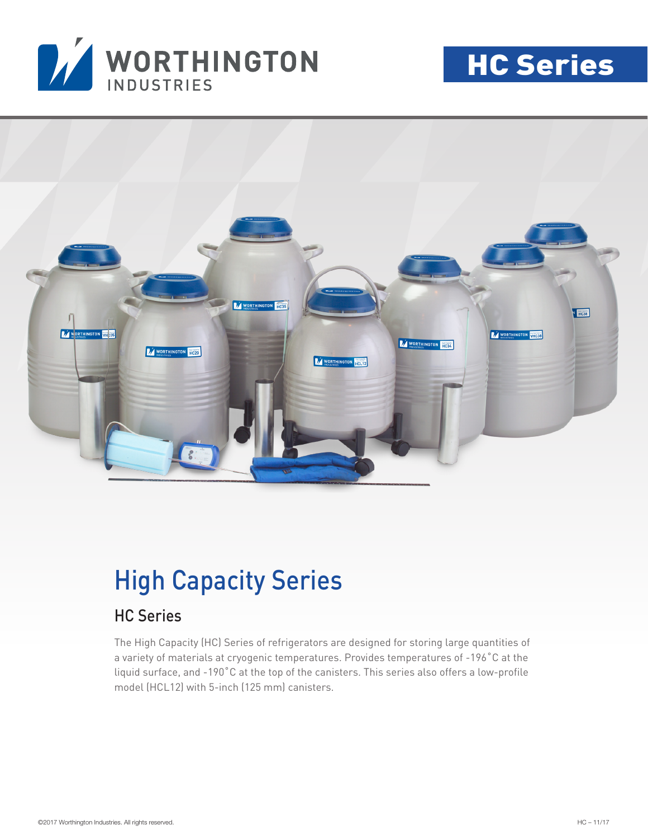

# HC Series



## High Capacity Series

### HC Series

The High Capacity (HC) Series of refrigerators are designed for storing large quantities of a variety of materials at cryogenic temperatures. Provides temperatures of -196˚C at the liquid surface, and -190˚C at the top of the canisters. This series also offers a low-profile model (HCL12) with 5-inch (125 mm) canisters.